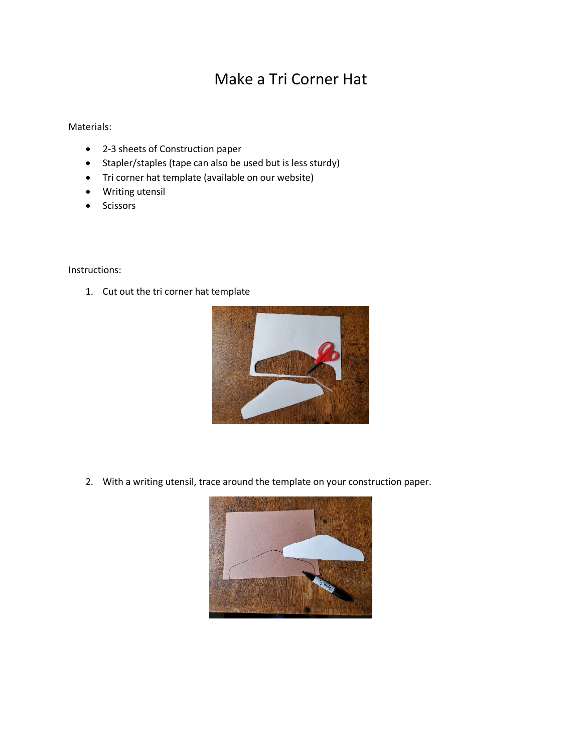## Make a Tri Corner Hat

Materials:

- 2-3 sheets of Construction paper
- Stapler/staples (tape can also be used but is less sturdy)
- Tri corner hat template (available on our website)
- Writing utensil
- Scissors

Instructions:

1. Cut out the tri corner hat template



2. With a writing utensil, trace around the template on your construction paper.

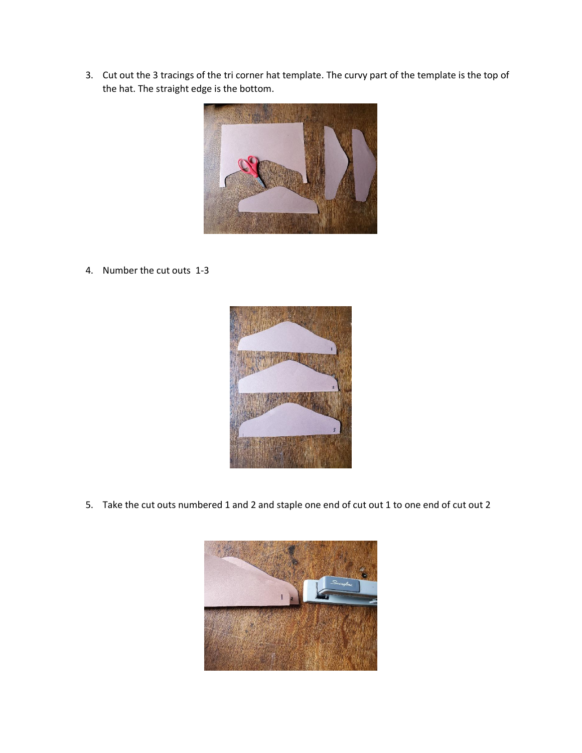3. Cut out the 3 tracings of the tri corner hat template. The curvy part of the template is the top of the hat. The straight edge is the bottom.



4. Number the cut outs 1-3



5. Take the cut outs numbered 1 and 2 and staple one end of cut out 1 to one end of cut out 2